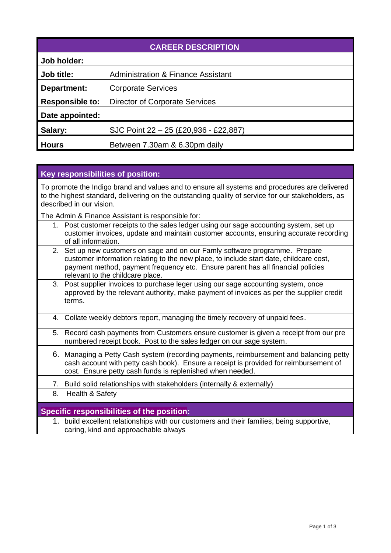| <b>CAREER DESCRIPTION</b> |                                               |  |
|---------------------------|-----------------------------------------------|--|
| Job holder:               |                                               |  |
| Job title:                | <b>Administration &amp; Finance Assistant</b> |  |
| Department:               | <b>Corporate Services</b>                     |  |
| <b>Responsible to:</b>    | <b>Director of Corporate Services</b>         |  |
| Date appointed:           |                                               |  |
| Salary:                   | SJC Point 22 - 25 (£20,936 - £22,887)         |  |
| <b>Hours</b>              | Between 7.30am & 6.30pm daily                 |  |

# **Key responsibilities of position:**

To promote the Indigo brand and values and to ensure all systems and procedures are delivered to the highest standard, delivering on the outstanding quality of service for our stakeholders, as described in our vision.

The Admin & Finance Assistant is responsible for:

- 1. Post customer receipts to the sales ledger using our sage accounting system, set up customer invoices, update and maintain customer accounts, ensuring accurate recording of all information.
- 2. Set up new customers on sage and on our Famly software programme. Prepare customer information relating to the new place, to include start date, childcare cost, payment method, payment frequency etc. Ensure parent has all financial policies relevant to the childcare place.
- 3. Post supplier invoices to purchase leger using our sage accounting system, once approved by the relevant authority, make payment of invoices as per the supplier credit terms.
- 4. Collate weekly debtors report, managing the timely recovery of unpaid fees.
- 5. Record cash payments from Customers ensure customer is given a receipt from our pre numbered receipt book. Post to the sales ledger on our sage system.
- 6. Managing a Petty Cash system (recording payments, reimbursement and balancing petty cash account with petty cash book). Ensure a receipt is provided for reimbursement of cost. Ensure petty cash funds is replenished when needed.
- 7. Build solid relationships with stakeholders (internally & externally)
- 8. Health & Safety

## **Specific responsibilities of the position:**

1. build excellent relationships with our customers and their families, being supportive, caring, kind and approachable always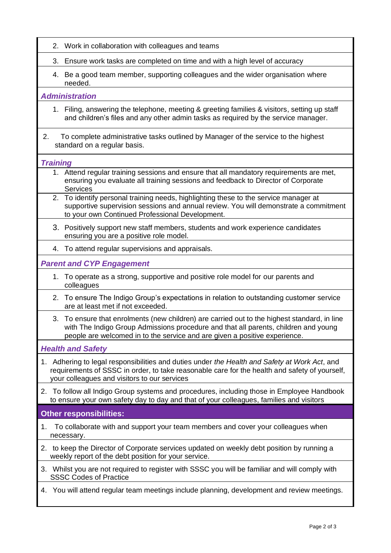- 2. Work in collaboration with colleagues and teams
- 3. Ensure work tasks are completed on time and with a high level of accuracy
- 4. Be a good team member, supporting colleagues and the wider organisation where needed.

## *Administration*

- 1. Filing, answering the telephone, meeting & greeting families & visitors, setting up staff and children's files and any other admin tasks as required by the service manager.
- 2. To complete administrative tasks outlined by Manager of the service to the highest standard on a regular basis.

### *Training*

- 1. Attend regular training sessions and ensure that all mandatory requirements are met, ensuring you evaluate all training sessions and feedback to Director of Corporate **Services**
- 2. To identify personal training needs, highlighting these to the service manager at supportive supervision sessions and annual review. You will demonstrate a commitment to your own Continued Professional Development.
- 3. Positively support new staff members, students and work experience candidates ensuring you are a positive role model.
- 4. To attend regular supervisions and appraisals.

*Parent and CYP Engagement*

- 1. To operate as a strong, supportive and positive role model for our parents and colleagues
- 2. To ensure The Indigo Group's expectations in relation to outstanding customer service are at least met if not exceeded.
- 3. To ensure that enrolments (new children) are carried out to the highest standard, in line with The Indigo Group Admissions procedure and that all parents, children and young people are welcomed in to the service and are given a positive experience.

*Health and Safety*

- 1. Adhering to legal responsibilities and duties under *the Health and Safety at Work Act*, and requirements of SSSC in order, to take reasonable care for the health and safety of yourself, your colleagues and visitors to our services
- 2. To follow all Indigo Group systems and procedures, including those in Employee Handbook to ensure your own safety day to day and that of your colleagues, families and visitors

## **Other responsibilities:**

- 1. To collaborate with and support your team members and cover your colleagues when necessary.
- 2. to keep the Director of Corporate services updated on weekly debt position by running a weekly report of the debt position for your service.
- 3. Whilst you are not required to register with SSSC you will be familiar and will comply with SSSC Codes of Practice
- 4. You will attend regular team meetings include planning, development and review meetings.